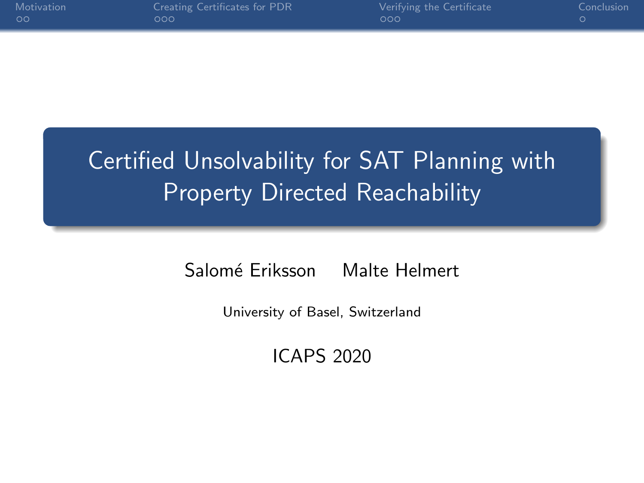| Motivation |  |
|------------|--|
| ററ         |  |

# Certified Unsolvability for SAT Planning with Property Directed Reachability

Salomé Eriksson Malte Helmert

University of Basel, Switzerland

ICAPS 2020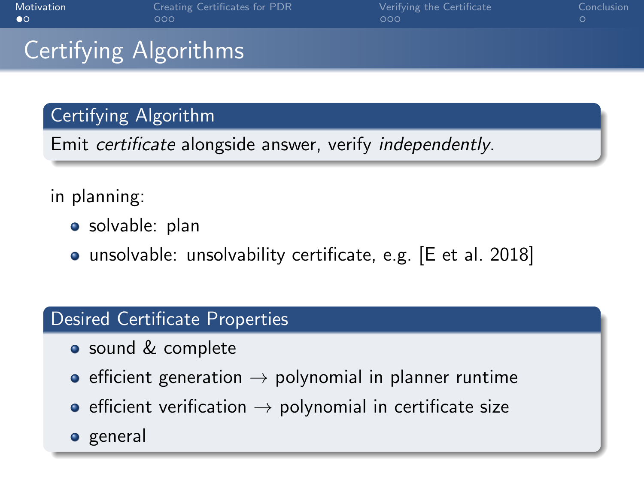<span id="page-1-0"></span>

| Motivation |  |
|------------|--|
| πo         |  |

# Certifying Algorithms

### Certifying Algorithm

Emit certificate alongside answer, verify independently.

### in planning:

- solvable: plan
- unsolvable: unsolvability certificate, e.g. [E et al. 2018]

#### Desired Certificate Properties

- sound & complete
- efficient generation  $\rightarrow$  polynomial in planner runtime
- $\bullet$  efficient verification  $\rightarrow$  polynomial in certificate size
- general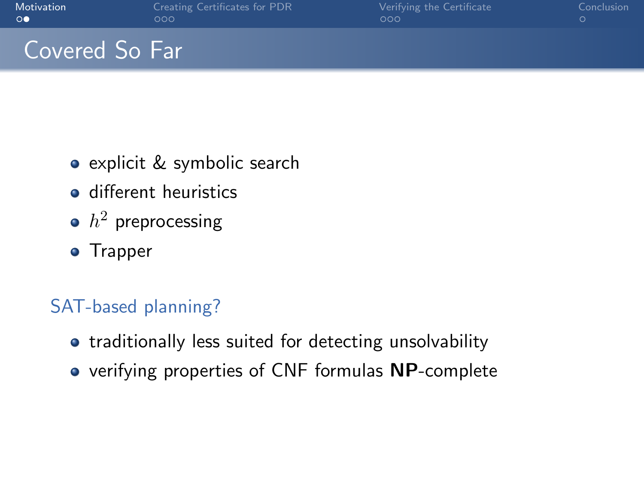| Motivation |  |
|------------|--|
| $\circ$    |  |

## Covered So Far

- explicit & symbolic search
- **o** different heuristics
- $\,h^2\,$  preprocessing
- Trapper

### SAT-based planning?

- traditionally less suited for detecting unsolvability
- verifying properties of CNF formulas NP-complete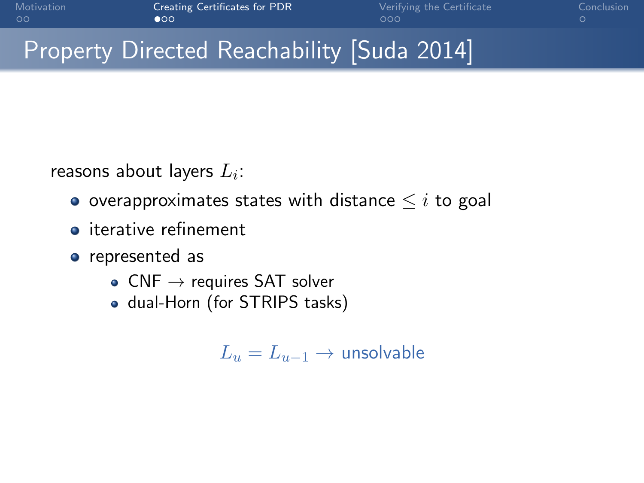## <span id="page-3-0"></span>Property Directed Reachability [Suda 2014]

reasons about layers  $L_i\!\!$  :

- o overapproximates states with distance  $\leq i$  to goal
- **o** iterative refinement
- represented as
	- CNF  $\rightarrow$  requires SAT solver
	- dual-Horn (for STRIPS tasks)

 $L_u = L_{u-1} \rightarrow$  unsolvable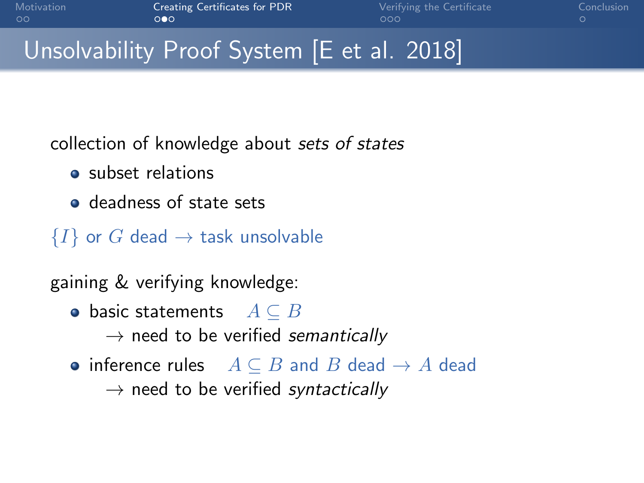## Unsolvability Proof System [E et al. 2018]

collection of knowledge about sets of states

- **a** subset relations
- deadness of state sets
- $\{I\}$  or G dead  $\rightarrow$  task unsolvable

gaining & verifying knowledge:

 $\bullet$  basic statements  $A \subseteq B$ 

 $\rightarrow$  need to be verified semantically

• inference rules  $A \subseteq B$  and B dead  $\rightarrow A$  dead

 $\rightarrow$  need to be verified syntactically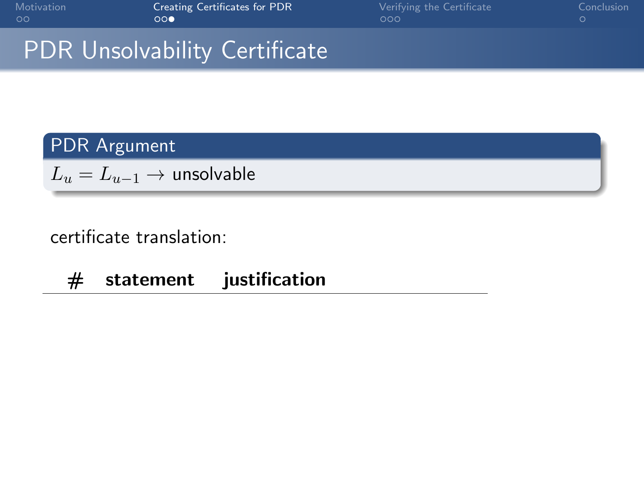| Motivation |  |
|------------|--|
| ററ         |  |

### PDR Unsolvability Certificate

### PDR Argument

 $L_u = L_{u-1} \rightarrow$  unsolvable

#### certificate translation:

# statement justification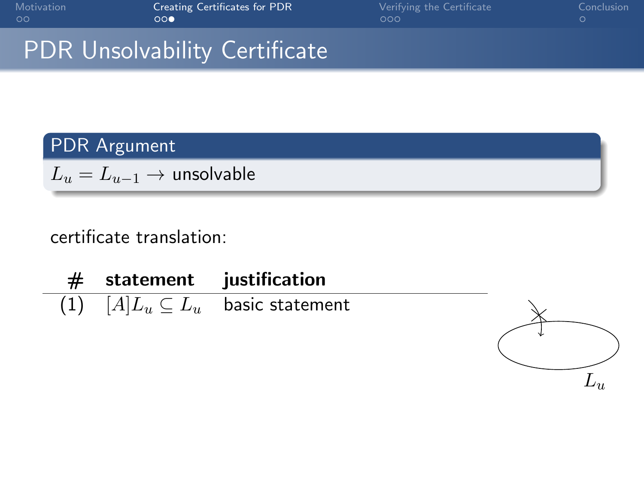| Motivation |  |
|------------|--|
| ററ         |  |

J.

[Creating Certificates for PDR](#page-3-0) [Verifying the Certificate](#page-11-0) [Conclusion](#page-14-0)<br>  $000$  OO

## PDR Unsolvability Certificate

### PDR Argument

 $L_u = L_{u-1} \rightarrow$  unsolvable

|  | $#$ statement justification                |  |
|--|--------------------------------------------|--|
|  | (1) $[A]L_u \subseteq L_u$ basic statement |  |
|  |                                            |  |

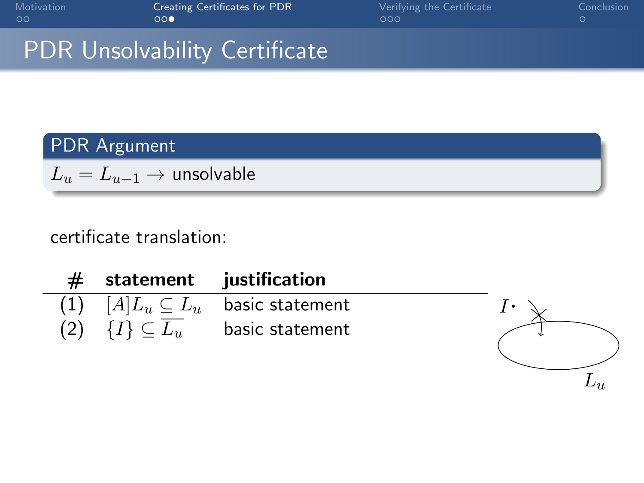| Motivation |  |
|------------|--|
| ററ         |  |

 $L<sub>u</sub>$ 

## PDR Unsolvability Certificate

### PDR Argument

 $L_u = L_{u-1} \rightarrow$  unsolvable

|  | $#$ statement justification                  |  |
|--|----------------------------------------------|--|
|  | $(1)$ $[A]L_u \subseteq L_u$ basic statement |  |
|  | (2) $\{I\} \subseteq L_u$ basic statement    |  |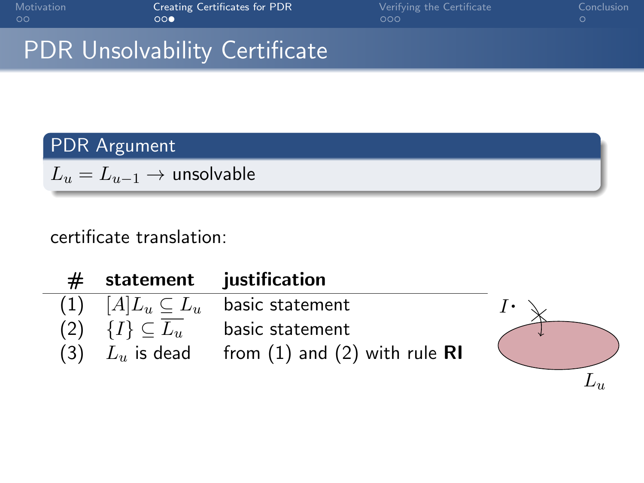| Motivation |  |
|------------|--|
| ററ         |  |

 $L_{\nu}$ 

## PDR Unsolvability Certificate

### PDR Argument

 $L_u = L_{u-1} \rightarrow$  unsolvable

| statement justification                    |                                            |                |
|--------------------------------------------|--------------------------------------------|----------------|
|                                            | (1) $[A]L_u \subseteq L_u$ basic statement | $\mathbf{I}$ . |
| $(2) \quad \{I\} \subseteq \overline{L_u}$ | basic statement                            |                |
| $(3)$ $L_u$ is dead                        | from $(1)$ and $(2)$ with rule RI          |                |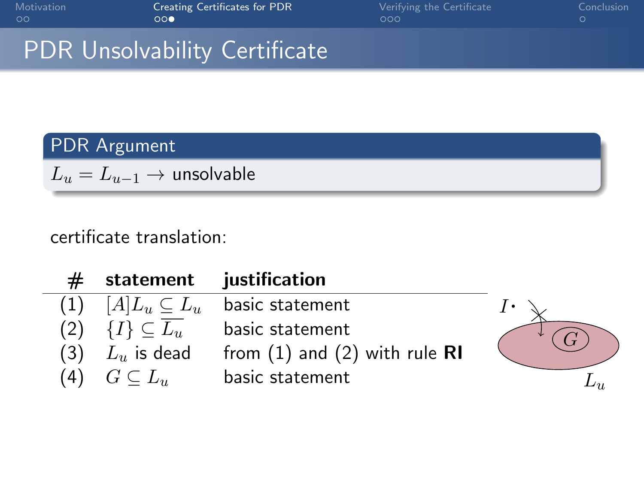| Motivation |  |
|------------|--|
| ററ         |  |

J.

[Creating Certificates for PDR](#page-3-0) [Verifying the Certificate](#page-11-0) [Conclusion](#page-14-0)<br>  $000$  OO

## PDR Unsolvability Certificate

### PDR Argument

 $L_u = L_{u-1} \rightarrow$  unsolvable

|     |                                            | statement justification           |  |
|-----|--------------------------------------------|-----------------------------------|--|
| (1) | $[A]L_u \subseteq L_u$                     | basic statement                   |  |
|     | $(2) \quad \{I\} \subseteq \overline{L_u}$ | basic statement                   |  |
| (3) | $L_u$ is dead                              | from $(1)$ and $(2)$ with rule RI |  |
| (4) | $G\subseteq L_u$                           | basic statement                   |  |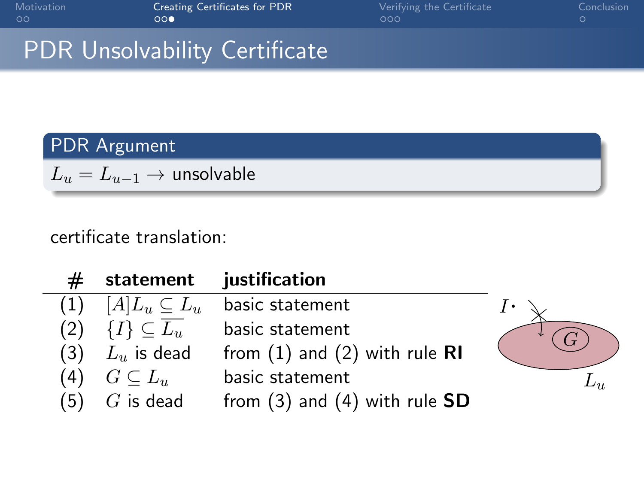| Motivation |  |
|------------|--|
| ററ         |  |

## PDR Unsolvability Certificate

### PDR Argument

 $L_u = L_{u-1} \rightarrow$  unsolvable

|     | statement                            | justification                     |          |
|-----|--------------------------------------|-----------------------------------|----------|
| (1) | $[A]L_u \subseteq L_u$               | basic statement                   |          |
|     | (2) $\{I\} \subseteq \overline{L_u}$ | basic statement                   |          |
| (3) | $L_u$ is dead                        | from $(1)$ and $(2)$ with rule RI |          |
| 4)  | $G\subseteq L_u$                     | basic statement                   | $L_{1L}$ |
| .5) | $G$ is dead                          | from $(3)$ and $(4)$ with rule SD |          |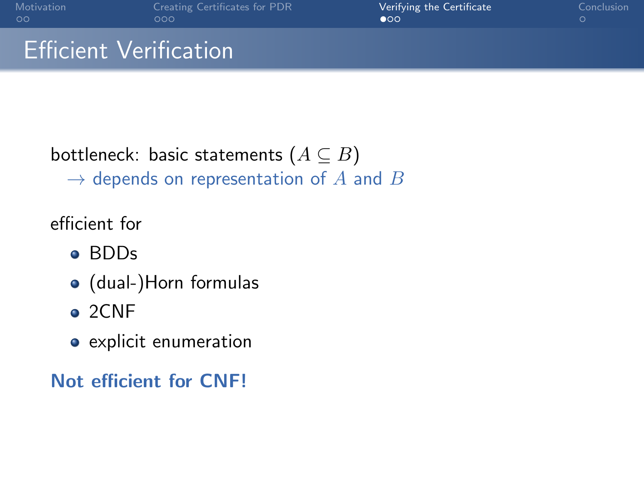## <span id="page-11-0"></span>Efficient Verification

# bottleneck: basic statements  $(A \subseteq B)$

 $\rightarrow$  depends on representation of A and B

efficient for

- BDDs
- (dual-)Horn formulas
- $\bullet$  2CNF
- **•** explicit enumeration

### Not efficient for CNF!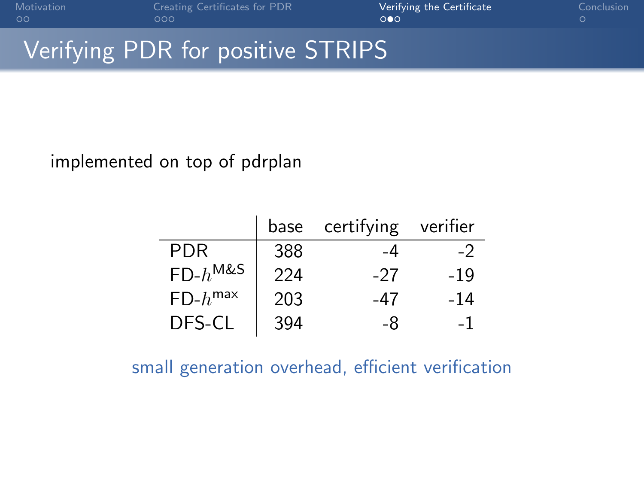## Verifying PDR for positive STRIPS

#### implemented on top of pdrplan

|              | base | certifying | veritier |
|--------------|------|------------|----------|
| <b>PDR</b>   | 388  | -4         | -2       |
| $FD-h^{M&S}$ | 224  | -27        | -19      |
| $FD-h^{max}$ | 203  | -47        | -14      |
| DFS-CL       | 394  | -8         | -1       |

small generation overhead, efficient verification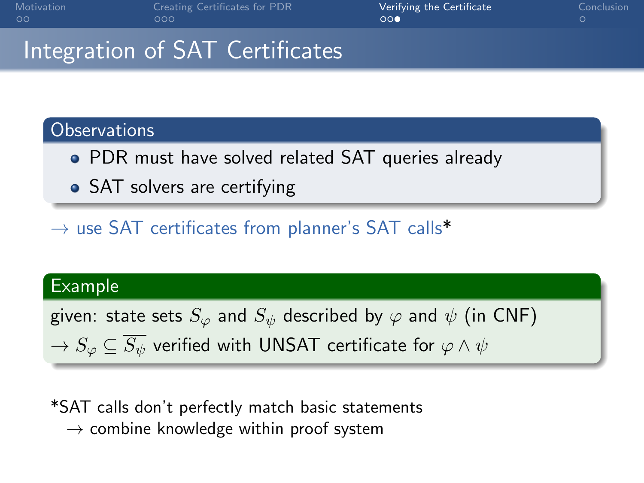## Integration of SAT Certificates

#### **Observations**

- PDR must have solved related SAT queries already
- SAT solvers are certifying

 $\rightarrow$  use SAT certificates from planner's SAT calls\*

#### Example

given: state sets  $S_{\varphi}$  and  $S_{\psi}$  described by  $\varphi$  and  $\psi$  (in CNF)

 $\rightarrow$   $S_{\varphi} \subset \overline{S_{\psi}}$  verified with UNSAT certificate for  $\varphi \wedge \psi$ 

\*SAT calls don't perfectly match basic statements  $\rightarrow$  combine knowledge within proof system